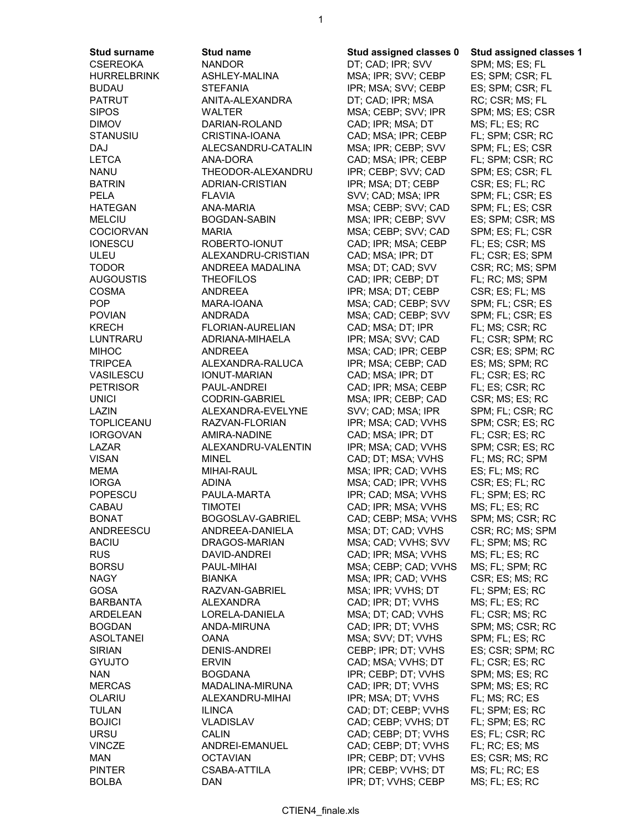**Stud surname Stud name Stud assigned classes 0 Stud assigned classes 1** CSEREOKA NANDOR DT; CAD; IPR; SVV SPM; MS; ES; FL

MSA; IPR; SVV; CEBP ES; SPM; CSR; FL BUDAU STEFANIA IPR; MSA; SVV; CEBP ES; SPM; CSR; FL PATRUT ANITA-ALEXANDRA DT; CAD; IPR; MSA RC; CSR; MS; FL WALTER MSA; CEBP; SVV; IPR SPM; MS; ES; CSR DIMOV DARIAN-ROLAND CAD; IPR; MSA; DT MS; FL; ES; RC STANUSIU CRISTINA-IOANA CAD; MSA; IPR; CEBP FL; SPM; CSR; RC DAJ ALECSANDRU-CATALIN MSA; IPR; CEBP; SVV SPM; FL; ES; CSR LETCA ANA-DORA CAD; MSA; IPR; CEBP FL; SPM; CSR; RC NANU THEODOR-ALEXANDRU IPR; CEBP; SVV; CAD SPM; ES; CSR; FL BATRIN ADRIAN-CRISTIAN IPR; MSA; DT; CEBP CSR; ES; FL; RC PELA FLAVIA SVV; CAD; MSA; IPR SPM; FL; CSR; ES HATEGAN ANA-MARIA MSA; CEBP; SVV; CAD SPM; FL; ES; CSR MELCIU BOGDAN-SABIN MSA; IPR; CEBP; SVV ES; SPM; CSR; MS COCIORVAN MARIA MSA; CEBP; SVV; CAD SPM; ES; FL; CSR CAD; IPR; MSA; CEBP FL; ES; CSR; MS ULEU ALEXANDRU-CRISTIAN CAD; MSA; IPR; DT FL; CSR; ES; SPM TODOR ANDREEA MADALINA MSA; DT; CAD; SVV CSR; RC; MS; SPM AUGOUSTIS THEOFILOS CAD; IPR; CEBP; DT FL; RC; MS; SPM COSMA ANDREEA IPR; MSA; DT; CEBP CSR; ES; FL; MS MARA-IOANA MSA; CAD; CEBP; SVV SPM; FL; CSR; ES POVIAN ANDRADA MSA; CAD; CEBP; SVV SPM; FL; CSR; ES KRECH FLORIAN-AURELIAN CAD; MSA; DT; IPR FL; MS; CSR; RC LUNTRARU ADRIANA-MIHAELA IPR; MSA; SVV; CAD FL; CSR; SPM; RC MIHOC ANDREEA MSA; CAD; IPR; CEBP CSR; ES; SPM; RC TRIPCEA ALEXANDRA-RALUCA IPR; MSA; CEBP; CAD ES; MS; SPM; RC VASILESCU IONUT-MARIAN CAD; MSA; IPR; DT FL; CSR; ES; RC PETRISOR PAUL-ANDREI CAD; IPR; MSA; CEBP FL; ES; CSR; RC UNICI CODRIN-GABRIEL MSA; IPR; CEBP; CAD CSR; MS; ES; RC LAZIN ALEXANDRA-EVELYNE SVV; CAD; MSA; IPR SPM; FL; CSR; RC TOPLICEANU RAZVAN-FLORIAN IPR; MSA; CAD; VVHS SPM; CSR; ES; RC IORGOVAN AMIRA-NADINE CAD; MSA; IPR; DT FL; CSR; ES; RC LAZAR ALEXANDRU-VALENTIN IPR; MSA; CAD; VVHS SPM; CSR; ES; RC VISAN MINEL MINEL CAD; DT; MSA; VVHS FL; MS; RC; SPM MEMA MIHAI-RAUL MIGA; IPR; CAD; VVHS ES; FL; MS; RC IORGA ADINA MSA; CAD; IPR; VVHS CSR; ES; FL; RC POPESCU PAULA-MARTA IPR; CAD; MSA; VVHS FL; SPM; ES; RC CABAU TIMOTEI CAD; IPR; MSA; VVHS MS; FL; ES; RC BONAT BOGOSLAV-GABRIEL CAD; CEBP; MSA; VVHS SPM; MS; CSR; RC ANDREESCU ANDREEA-DANIELA MSA; DT; CAD; VVHS CSR; RC; MS; SPM BACIU DRAGOS-MARIAN MSA; CAD; VVHS; SVV FL; SPM; MS; RC RUS DAVID-ANDREI CAD; IPR; MSA; VVHS MS; FL; ES; RC BORSU PAUL-MIHAI MSA; CEBP; CAD; VVHS MS; FL; SPM; RC NAGY BIANKA MSA; IPR; CAD; VVHS CSR; ES; MS; RC GOSA RAZVAN-GABRIEL MSA; IPR; VVHS; DT FL; SPM; ES; RC BARBANTA ALEXANDRA CAD; IPR; DT; VVHS MS; FL; ES; RC ARDELEAN LORELA-DANIELA MSA; DT; CAD; VVHS FL; CSR; MS; RC BOGDAN ANDA-MIRUNA CAD; IPR; DT; VVHS SPM; MS; CSR; RC ASOLTANEI OANA MSA; SVV; DT; VVHS SPM; FL; ES; RC SIRIAN DENIS-ANDREI CEBP; IPR; DT; VVHS ES; CSR; SPM; RC GYUJTO ERVIN CAD; MSA; VVHS; DT FL; CSR; ES; RC NAN BOGDANA IPR; CEBP; DT; VVHS SPM; MS; ES; RC MERCAS MADALINA-MIRUNA CAD; IPR; DT; VVHS SPM; MS; ES; RC OLARIU ALEXANDRU-MIHAI IPR; MSA; DT; VVHS FL; MS; RC; ES TULAN ILINCA CAD; DT; CEBP; VVHS FL; SPM; ES; RC BOJICI VLADISLAV CAD; CEBP; VVHS; DT FL; SPM; ES; RC URSU CALIN CAD; CEBP; DT; VVHS ES; FL; CSR; RC VINCZE ANDREI-EMANUEL CAD; CEBP; DT; VVHS FL; RC; ES; MS MAN OCTAVIAN IPR; CEBP; DT; VVHS ES; CSR; MS; RC PINTER CSABA-ATTILA IPR; CEBP; VVHS; DT MS; FL; RC; ES BOLBA DAN IPR; DT; VVHS; CEBP MS; FL; ES; RC